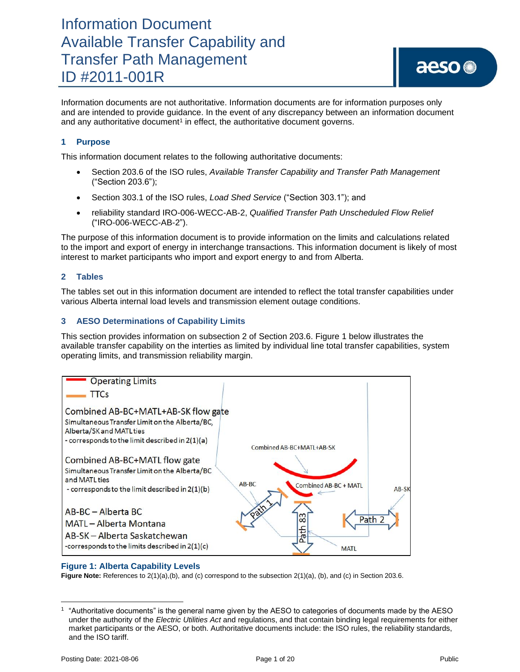Information documents are not authoritative. Information documents are for information purposes only and are intended to provide guidance. In the event of any discrepancy between an information document and any authoritative document<sup>1</sup> in effect, the authoritative document governs.

### **1 Purpose**

This information document relates to the following authoritative documents:

- Section 203.6 of the ISO rules, *Available Transfer Capability and Transfer Path Management*  ("Section 203.6");
- Section 303.1 of the ISO rules, *Load Shed Service* ("Section 303.1"); and
- reliability standard IRO-006-WECC-AB-2, *Qualified Transfer Path Unscheduled Flow Relief* ("IRO-006-WECC-AB-2").

The purpose of this information document is to provide information on the limits and calculations related to the import and export of energy in interchange transactions. This information document is likely of most interest to market participants who import and export energy to and from Alberta.

### **2 Tables**

The tables set out in this information document are intended to reflect the total transfer capabilities under various Alberta internal load levels and transmission element outage conditions.

### **3 AESO Determinations of Capability Limits**

This section provides information on subsection 2 of Section 203.6. Figure 1 below illustrates the available transfer capability on the interties as limited by individual line total transfer capabilities, system operating limits, and transmission reliability margin.



### **Figure 1: Alberta Capability Levels**

**Figure Note:** References to 2(1)(a),(b), and (c) correspond to the subsection 2(1)(a), (b), and (c) in Section 203.6.

<sup>1</sup> "Authoritative documents" is the general name given by the AESO to categories of documents made by the AESO under the authority of the *Electric Utilities Act* and regulations, and that contain binding legal requirements for either market participants or the AESO, or both. Authoritative documents include: the ISO rules, the reliability standards, and the ISO tariff.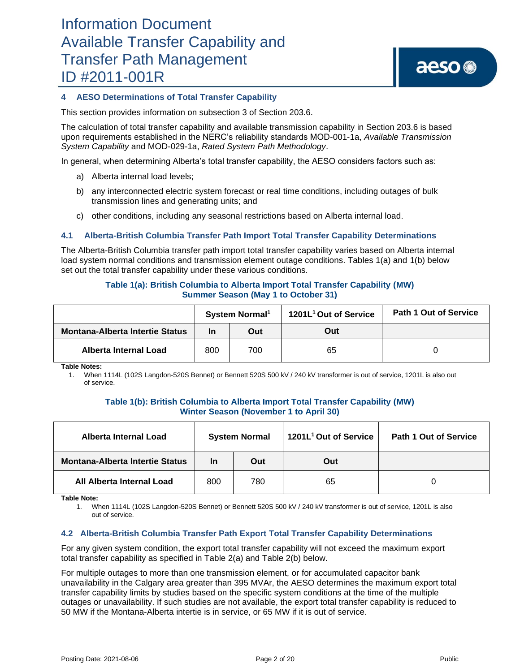### **4 AESO Determinations of Total Transfer Capability**

This section provides information on subsection 3 of Section 203.6.

The calculation of total transfer capability and available transmission capability in Section 203.6 is based upon requirements established in the NERC's reliability standards MOD-001-1a, *Available Transmission System Capability* and MOD-029-1a, *Rated System Path Methodology*.

In general, when determining Alberta's total transfer capability, the AESO considers factors such as:

- a) Alberta internal load levels;
- b) any interconnected electric system forecast or real time conditions, including outages of bulk transmission lines and generating units; and
- c) other conditions, including any seasonal restrictions based on Alberta internal load.

### **4.1 Alberta-British Columbia Transfer Path Import Total Transfer Capability Determinations**

The Alberta-British Columbia transfer path import total transfer capability varies based on Alberta internal load system normal conditions and transmission element outage conditions. Tables 1(a) and 1(b) below set out the total transfer capability under these various conditions.

### **Table 1(a): British Columbia to Alberta Import Total Transfer Capability (MW) Summer Season (May 1 to October 31)**

|                                        | System Normal <sup>1</sup> |     | 1201L <sup>1</sup> Out of Service | <b>Path 1 Out of Service</b> |
|----------------------------------------|----------------------------|-----|-----------------------------------|------------------------------|
| <b>Montana-Alberta Intertie Status</b> | In<br>Out                  |     | Out                               |                              |
| Alberta Internal Load                  | 800                        | 700 | 65                                |                              |

**Table Notes:**

1. When 1114L (102S Langdon-520S Bennet) or Bennett 520S 500 kV / 240 kV transformer is out of service, 1201L is also out of service.

#### **Table 1(b): British Columbia to Alberta Import Total Transfer Capability (MW) Winter Season (November 1 to April 30)**

| Alberta Internal Load                  | <b>System Normal</b> |     | 1201L <sup>1</sup> Out of Service | <b>Path 1 Out of Service</b> |
|----------------------------------------|----------------------|-----|-----------------------------------|------------------------------|
| <b>Montana-Alberta Intertie Status</b> | <b>In</b>            | Out | Out                               |                              |
| All Alberta Internal Load              | 800                  | 780 | 65                                |                              |

**Table Note:**

1. When 1114L (102S Langdon-520S Bennet) or Bennett 520S 500 kV / 240 kV transformer is out of service, 1201L is also out of service.

### **4.2 Alberta-British Columbia Transfer Path Export Total Transfer Capability Determinations**

For any given system condition, the export total transfer capability will not exceed the maximum export total transfer capability as specified in Table 2(a) and [Table 2](#page-2-0)(b) below.

For multiple outages to more than one transmission element, or for accumulated capacitor bank unavailability in the Calgary area greater than 395 MVAr, the AESO determines the maximum export total transfer capability limits by studies based on the specific system conditions at the time of the multiple outages or unavailability. If such studies are not available, the export total transfer capability is reduced to 50 MW if the Montana-Alberta intertie is in service, or 65 MW if it is out of service.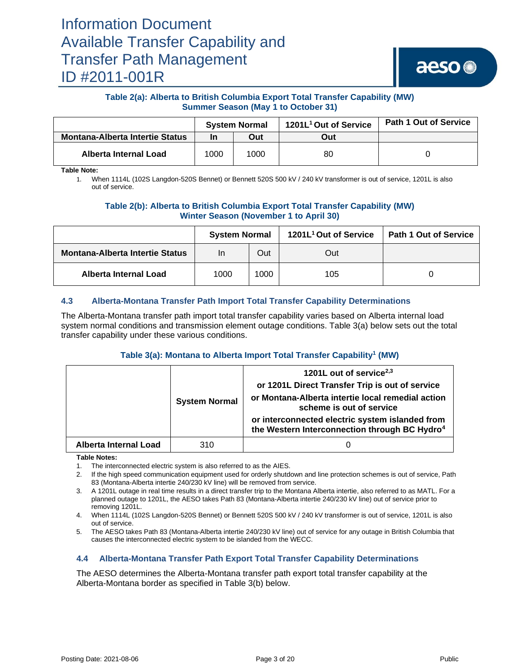

### **Table 2(a): Alberta to British Columbia Export Total Transfer Capability (MW) Summer Season (May 1 to October 31)**

|                                        | <b>System Normal</b> |      | 1201L <sup>1</sup> Out of Service | <b>Path 1 Out of Service</b> |
|----------------------------------------|----------------------|------|-----------------------------------|------------------------------|
| <b>Montana-Alberta Intertie Status</b> | Out<br>In            |      | Out                               |                              |
| Alberta Internal Load                  | 1000                 | 1000 | 80                                |                              |

<span id="page-2-0"></span>**Table Note:**

1. When 1114L (102S Langdon-520S Bennet) or Bennett 520S 500 kV / 240 kV transformer is out of service, 1201L is also out of service.

### **Table 2(b): Alberta to British Columbia Export Total Transfer Capability (MW) Winter Season (November 1 to April 30)**

|                                        | <b>System Normal</b> |      | 1201L <sup>1</sup> Out of Service | <b>Path 1 Out of Service</b> |
|----------------------------------------|----------------------|------|-----------------------------------|------------------------------|
| <b>Montana-Alberta Intertie Status</b> | Out<br>In            |      | Out                               |                              |
| <b>Alberta Internal Load</b><br>1000   |                      | 1000 | 105                               |                              |

### **4.3 Alberta-Montana Transfer Path Import Total Transfer Capability Determinations**

The Alberta-Montana transfer path import total transfer capability varies based on Alberta internal load system normal conditions and transmission element outage conditions. Table 3(a) below sets out the total transfer capability under these various conditions.

### **Table 3(a): Montana to Alberta Import Total Transfer Capability<sup>1</sup> (MW)**

|                       | <b>System Normal</b> | 1201L out of service $2,3$<br>or 1201L Direct Transfer Trip is out of service<br>or Montana-Alberta intertie local remedial action<br>scheme is out of service<br>or interconnected electric system islanded from<br>the Western Interconnection through BC Hydro <sup>4</sup> |
|-----------------------|----------------------|--------------------------------------------------------------------------------------------------------------------------------------------------------------------------------------------------------------------------------------------------------------------------------|
| Alberta Internal Load | 310                  |                                                                                                                                                                                                                                                                                |

**Table Notes:**

1. The interconnected electric system is also referred to as the AIES.

2. If the high speed communication equipment used for orderly shutdown and line protection schemes is out of service, Path 83 (Montana-Alberta intertie 240/230 kV line) will be removed from service.

3. A 1201L outage in real time results in a direct transfer trip to the Montana Alberta intertie, also referred to as MATL. For a planned outage to 1201L, the AESO takes Path 83 (Montana-Alberta intertie 240/230 kV line) out of service prior to removing 1201L.

4. When 1114L (102S Langdon-520S Bennet) or Bennett 520S 500 kV / 240 kV transformer is out of service, 1201L is also out of service.

5. The AESO takes Path 83 (Montana-Alberta intertie 240/230 kV line) out of service for any outage in British Columbia that causes the interconnected electric system to be islanded from the WECC.

### **4.4 Alberta-Montana Transfer Path Export Total Transfer Capability Determinations**

The AESO determines the Alberta-Montana transfer path export total transfer capability at the Alberta-Montana border as specified in Table 3(b) below.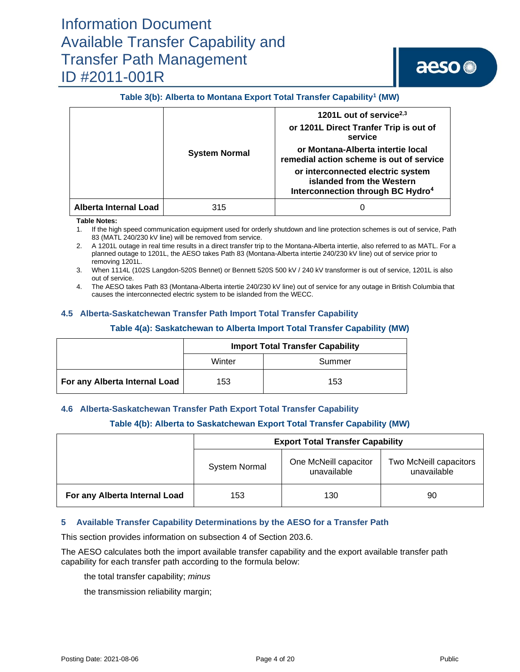# aeso<sup>®</sup>

### **Table 3(b): Alberta to Montana Export Total Transfer Capability<sup>1</sup> (MW)**

|                              |                      | 1201L out of service <sup>2,3</sup>                                                                             |
|------------------------------|----------------------|-----------------------------------------------------------------------------------------------------------------|
|                              |                      | or 1201L Direct Tranfer Trip is out of<br>service                                                               |
|                              | <b>System Normal</b> | or Montana-Alberta intertie local<br>remedial action scheme is out of service                                   |
|                              |                      | or interconnected electric system<br>islanded from the Western<br>Interconnection through BC Hydro <sup>4</sup> |
| <b>Alberta Internal Load</b> | 315                  |                                                                                                                 |

#### **Table Notes:**

- 1. If the high speed communication equipment used for orderly shutdown and line protection schemes is out of service, Path 83 (MATL 240/230 kV line) will be removed from service.
- 2. A 1201L outage in real time results in a direct transfer trip to the Montana-Alberta intertie, also referred to as MATL. For a planned outage to 1201L, the AESO takes Path 83 (Montana-Alberta intertie 240/230 kV line) out of service prior to removing 1201L.
- 3. When 1114L (102S Langdon-520S Bennet) or Bennett 520S 500 kV / 240 kV transformer is out of service, 1201L is also out of service.
- 4. The AESO takes Path 83 (Montana-Alberta intertie 240/230 kV line) out of service for any outage in British Columbia that causes the interconnected electric system to be islanded from the WECC.

### **4.5 Alberta-Saskatchewan Transfer Path Import Total Transfer Capability**

#### **Table 4(a): Saskatchewan to Alberta Import Total Transfer Capability (MW)**

|                               |        | <b>Import Total Transfer Capability</b> |
|-------------------------------|--------|-----------------------------------------|
|                               | Winter | Summer                                  |
| For any Alberta Internal Load | 153    | 153                                     |

### **4.6 Alberta-Saskatchewan Transfer Path Export Total Transfer Capability**

### **Table 4(b): Alberta to Saskatchewan Export Total Transfer Capability (MW)**

|                               |                      | <b>Export Total Transfer Capability</b> |                                       |  |
|-------------------------------|----------------------|-----------------------------------------|---------------------------------------|--|
|                               | <b>System Normal</b> | One McNeill capacitor<br>unavailable    | Two McNeill capacitors<br>unavailable |  |
| For any Alberta Internal Load | 153                  | 130                                     | 90                                    |  |

### **5 Available Transfer Capability Determinations by the AESO for a Transfer Path**

This section provides information on subsection 4 of Section 203.6.

The AESO calculates both the import available transfer capability and the export available transfer path capability for each transfer path according to the formula below:

the total transfer capability; *minus* 

the transmission reliability margin;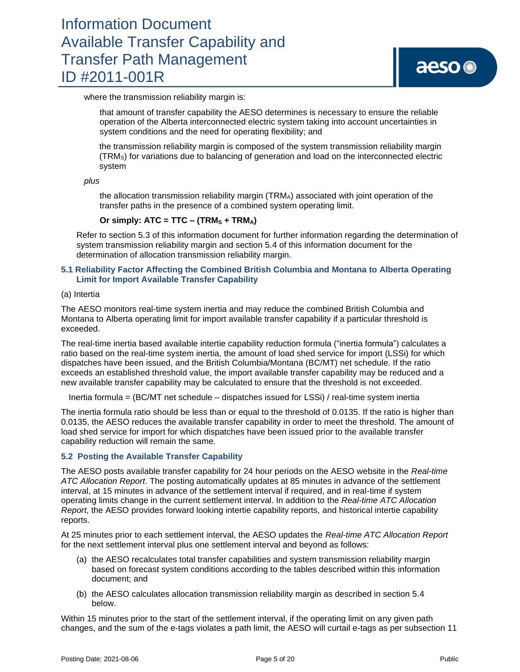where the transmission reliability margin is:

that amount of transfer capability the AESO determines is necessary to ensure the reliable operation of the Alberta interconnected electric system taking into account uncertainties in system conditions and the need for operating flexibility; and

the transmission reliability margin is composed of the system transmission reliability margin (TRMS) for variations due to balancing of generation and load on the interconnected electric system

*plus*

the allocation transmission reliability margin (TRMA) associated with joint operation of the transfer paths in the presence of a combined system operating limit.

### Or simply:  $\textrm{ATC} = \textrm{TTC} - (\textrm{TRM}_S + \textrm{TRM}_A)$

Refer to section 5.3 of this information document for further information regarding the determination of system transmission reliability margin and section 5.4 of this information document for the determination of allocation transmission reliability margin.

### **5.1 Reliability Factor Affecting the Combined British Columbia and Montana to Alberta Operating Limit for Import Available Transfer Capability**

#### (a) Intertia

The AESO monitors real-time system inertia and may reduce the combined British Columbia and Montana to Alberta operating limit for import available transfer capability if a particular threshold is exceeded.

The real-time inertia based available intertie capability reduction formula ("inertia formula") calculates a ratio based on the real-time system inertia, the amount of load shed service for import (LSSi) for which dispatches have been issued, and the British Columbia/Montana (BC/MT) net schedule. If the ratio exceeds an established threshold value, the import available transfer capability may be reduced and a new available transfer capability may be calculated to ensure that the threshold is not exceeded.

Inertia formula = (BC/MT net schedule – dispatches issued for LSSi) / real-time system inertia

The inertia formula ratio should be less than or equal to the threshold of 0.0135. If the ratio is higher than 0.0135, the AESO reduces the available transfer capability in order to meet the threshold. The amount of load shed service for import for which dispatches have been issued prior to the available transfer capability reduction will remain the same.

### **5.2 Posting the Available Transfer Capability**

The AESO posts available transfer capability for 24 hour periods on the AESO website in the *Real-time ATC Allocation Report*. The posting automatically updates at 85 minutes in advance of the settlement interval, at 15 minutes in advance of the settlement interval if required, and in real-time if system operating limits change in the current settlement interval. In addition to the *Real-time ATC Allocation Report*, the AESO provides forward looking intertie capability reports, and historical intertie capability reports.

At 25 minutes prior to each settlement interval, the AESO updates the *Real-time ATC Allocation Report* for the next settlement interval plus one settlement interval and beyond as follows:

- (a) the AESO recalculates total transfer capabilities and system transmission reliability margin based on forecast system conditions according to the tables described within this information document; and
- (b) the AESO calculates allocation transmission reliability margin as described in section 5.4 below.

Within 15 minutes prior to the start of the settlement interval, if the operating limit on any given path changes, and the sum of the e-tags violates a path limit, the AESO will curtail e-tags as per subsection 11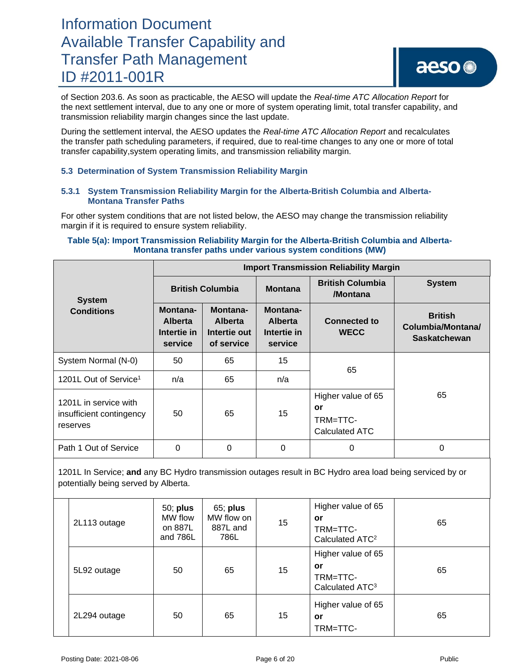## aeso<sup>®</sup>

of Section 203.6. As soon as practicable, the AESO will update the *Real-time ATC Allocation Report* for the next settlement interval, due to any one or more of system operating limit, total transfer capability, and transmission reliability margin changes since the last update.

During the settlement interval, the AESO updates the *Real-time ATC Allocation Report* and recalculates the transfer path scheduling parameters, if required, due to real-time changes to any one or more of total transfer capability,system operating limits, and transmission reliability margin.

### **5.3 Determination of System Transmission Reliability Margin**

### **5.3.1 System Transmission Reliability Margin for the Alberta-British Columbia and Alberta-Montana Transfer Paths**

For other system conditions that are not listed below, the AESO may change the transmission reliability margin if it is required to ensure system reliability.

### **Table 5(a): Import Transmission Reliability Margin for the Alberta-British Columbia and Alberta-Montana transfer paths under various system conditions (MW)**

|                                                               | <b>Import Transmission Reliability Margin</b>                                                                    |                         |                                                      |                                                        |                                                            |  |  |  |
|---------------------------------------------------------------|------------------------------------------------------------------------------------------------------------------|-------------------------|------------------------------------------------------|--------------------------------------------------------|------------------------------------------------------------|--|--|--|
| <b>System</b>                                                 |                                                                                                                  | <b>British Columbia</b> | <b>Montana</b>                                       | <b>British Columbia</b><br>/Montana                    | <b>System</b>                                              |  |  |  |
| <b>Conditions</b>                                             | Montana-<br>Montana-<br><b>Alberta</b><br><b>Alberta</b><br>Intertie in<br>Intertie out<br>of service<br>service |                         | Montana-<br><b>Alberta</b><br>Intertie in<br>service | <b>Connected to</b><br><b>WECC</b>                     | <b>British</b><br>Columbia/Montana/<br><b>Saskatchewan</b> |  |  |  |
| System Normal (N-0)                                           | 50                                                                                                               | 65                      | 15                                                   | 65                                                     |                                                            |  |  |  |
| 1201L Out of Service <sup>1</sup>                             | n/a                                                                                                              | 65                      | n/a                                                  |                                                        |                                                            |  |  |  |
| 1201L in service with<br>insufficient contingency<br>reserves | 50                                                                                                               | 65                      | 15                                                   | Higher value of 65<br>or<br>TRM=TTC-<br>Calculated ATC | 65                                                         |  |  |  |
| Path 1 Out of Service                                         | 0                                                                                                                | 0                       | 0                                                    | 0                                                      | 0                                                          |  |  |  |

1201L In Service; **and** any BC Hydro transmission outages result in BC Hydro area load being serviced by or potentially being served by Alberta.

| 2L113 outage | $50;$ plus<br>MW flow<br>on 887L<br>and 786L | 65; plus<br>MW flow on<br>887L and<br>786L | 15 | Higher value of 65<br>or<br>TRM=TTC-<br>Calculated ATC <sup>2</sup> | 65 |
|--------------|----------------------------------------------|--------------------------------------------|----|---------------------------------------------------------------------|----|
| 5L92 outage  | 50                                           | 65                                         | 15 | Higher value of 65<br>or<br>TRM=TTC-<br>Calculated ATC <sup>3</sup> | 65 |
| 2L294 outage | 50                                           | 65                                         | 15 | Higher value of 65<br>or<br>TRM=TTC-                                | 65 |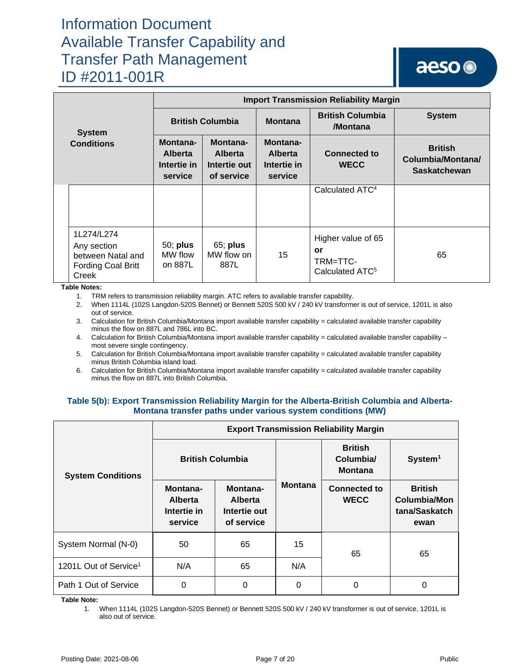## aeso<sup>®</sup>

|                                                                               | <b>Import Transmission Reliability Margin</b>        |                                                                                                                  |                |                                                                     |                                                            |  |  |
|-------------------------------------------------------------------------------|------------------------------------------------------|------------------------------------------------------------------------------------------------------------------|----------------|---------------------------------------------------------------------|------------------------------------------------------------|--|--|
| <b>System</b>                                                                 | <b>British Columbia</b>                              |                                                                                                                  | <b>Montana</b> | <b>British Columbia</b><br>/Montana                                 | <b>System</b>                                              |  |  |
| <b>Conditions</b>                                                             | Montana-<br><b>Alberta</b><br>Intertie in<br>service | Montana-<br>Montana-<br><b>Alberta</b><br><b>Alberta</b><br>Intertie out<br>Intertie in<br>of service<br>service |                | <b>Connected to</b><br><b>WECC</b>                                  | <b>British</b><br>Columbia/Montana/<br><b>Saskatchewan</b> |  |  |
|                                                                               |                                                      |                                                                                                                  |                | Calculated ATC <sup>4</sup>                                         |                                                            |  |  |
| 1L274/L274<br>Any section<br>between Natal and<br>Fording Coal Britt<br>Creek | 50; plus<br>MW flow<br>on 887L                       | 65; plus<br>MW flow on<br>887L                                                                                   | 15             | Higher value of 65<br>or<br>TRM=TTC-<br>Calculated ATC <sup>5</sup> | 65                                                         |  |  |

**Table Notes:**

1. TRM refers to transmission reliability margin. ATC refers to available transfer capability.

2. When 1114L (102S Langdon-520S Bennet) or Bennett 520S 500 kV / 240 kV transformer is out of service, 1201L is also out of service.

3. Calculation for British Columbia/Montana import available transfer capability = calculated available transfer capability minus the flow on 887L and 786L into BC.

4. Calculation for British Columbia/Montana import available transfer capability = calculated available transfer capability – most severe single contingency.

5. Calculation for British Columbia/Montana import available transfer capability = calculated available transfer capability minus British Columbia island load.

6. Calculation for British Columbia/Montana import available transfer capability = calculated available transfer capability minus the flow on 887L into British Columbia.

### **Table 5(b): Export Transmission Reliability Margin for the Alberta-British Columbia and Alberta-Montana transfer paths under various system conditions (MW)**

|                                   | <b>Export Transmission Reliability Margin</b>        |                                                          |                |                                               |                                                                |  |  |
|-----------------------------------|------------------------------------------------------|----------------------------------------------------------|----------------|-----------------------------------------------|----------------------------------------------------------------|--|--|
| <b>System Conditions</b>          | <b>British Columbia</b>                              |                                                          |                | <b>British</b><br>Columbia/<br><b>Montana</b> | System <sup>1</sup>                                            |  |  |
|                                   | Montana-<br><b>Alberta</b><br>Intertie in<br>service | Montana-<br><b>Alberta</b><br>Intertie out<br>of service | <b>Montana</b> | <b>Connected to</b><br><b>WECC</b>            | <b>British</b><br><b>Columbia/Mon</b><br>tana/Saskatch<br>ewan |  |  |
| System Normal (N-0)               | 50                                                   | 65                                                       | 15             | 65                                            | 65                                                             |  |  |
| 1201L Out of Service <sup>1</sup> | N/A                                                  | 65                                                       | N/A            |                                               |                                                                |  |  |
| Path 1 Out of Service             | $\Omega$                                             | 0                                                        | $\Omega$       | 0                                             | 0                                                              |  |  |

**Table Note:**

1. When 1114L (102S Langdon-520S Bennet) or Bennett 520S 500 kV / 240 kV transformer is out of service, 1201L is also out of service.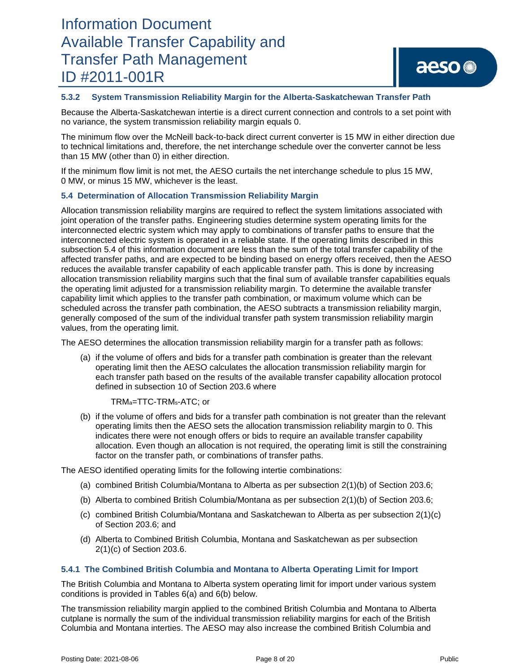## aeso<sup>®</sup>

### **5.3.2 System Transmission Reliability Margin for the Alberta-Saskatchewan Transfer Path**

Because the Alberta-Saskatchewan intertie is a direct current connection and controls to a set point with no variance, the system transmission reliability margin equals 0.

The minimum flow over the McNeill back-to-back direct current converter is 15 MW in either direction due to technical limitations and, therefore, the net interchange schedule over the converter cannot be less than 15 MW (other than 0) in either direction.

If the minimum flow limit is not met, the AESO curtails the net interchange schedule to plus 15 MW, 0 MW, or minus 15 MW, whichever is the least.

### **5.4 Determination of Allocation Transmission Reliability Margin**

Allocation transmission reliability margins are required to reflect the system limitations associated with joint operation of the transfer paths. Engineering studies determine system operating limits for the interconnected electric system which may apply to combinations of transfer paths to ensure that the interconnected electric system is operated in a reliable state. If the operating limits described in this subsection 5.4 of this information document are less than the sum of the total transfer capability of the affected transfer paths, and are expected to be binding based on energy offers received, then the AESO reduces the available transfer capability of each applicable transfer path. This is done by increasing allocation transmission reliability margins such that the final sum of available transfer capabilities equals the operating limit adjusted for a transmission reliability margin. To determine the available transfer capability limit which applies to the transfer path combination, or maximum volume which can be scheduled across the transfer path combination, the AESO subtracts a transmission reliability margin, generally composed of the sum of the individual transfer path system transmission reliability margin values, from the operating limit.

The AESO determines the allocation transmission reliability margin for a transfer path as follows:

(a) if the volume of offers and bids for a transfer path combination is greater than the relevant operating limit then the AESO calculates the allocation transmission reliability margin for each transfer path based on the results of the available transfer capability allocation protocol defined in subsection 10 of Section 203.6 where

### TRMa=TTC-TRMs-ATC; or

(b) if the volume of offers and bids for a transfer path combination is not greater than the relevant operating limits then the AESO sets the allocation transmission reliability margin to 0. This indicates there were not enough offers or bids to require an available transfer capability allocation. Even though an allocation is not required, the operating limit is still the constraining factor on the transfer path, or combinations of transfer paths.

The AESO identified operating limits for the following intertie combinations:

- (a) combined British Columbia/Montana to Alberta as per subsection 2(1)(b) of Section 203.6;
- (b) Alberta to combined British Columbia/Montana as per subsection 2(1)(b) of Section 203.6;
- (c) combined British Columbia/Montana and Saskatchewan to Alberta as per subsection 2(1)(c) of Section 203.6; and
- (d) Alberta to Combined British Columbia, Montana and Saskatchewan as per subsection 2(1)(c) of Section 203.6.

### **5.4.1 The Combined British Columbia and Montana to Alberta Operating Limit for Import**

The British Columbia and Montana to Alberta system operating limit for import under various system conditions is provided in Tables 6(a) and 6(b) below.

The transmission reliability margin applied to the combined British Columbia and Montana to Alberta cutplane is normally the sum of the individual transmission reliability margins for each of the British Columbia and Montana interties. The AESO may also increase the combined British Columbia and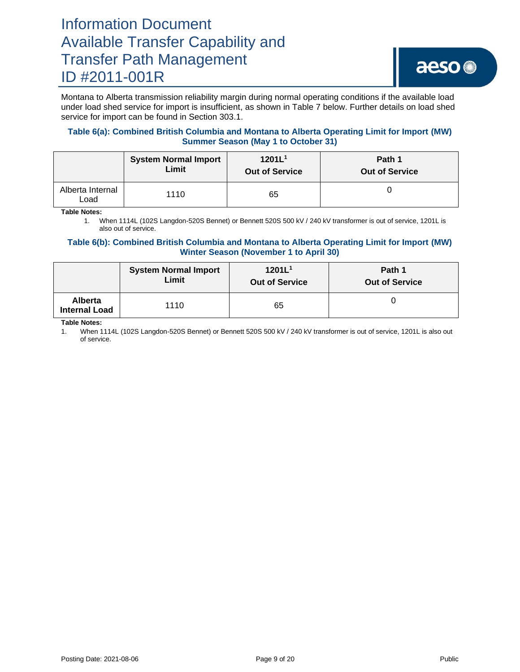Montana to Alberta transmission reliability margin during normal operating conditions if the available load under load shed service for import is insufficient, as shown in Table 7 below. Further details on load shed service for import can be found in Section 303.1.

### **Table 6(a): Combined British Columbia and Montana to Alberta Operating Limit for Import (MW) Summer Season (May 1 to October 31)**

|                          | <b>System Normal Import</b> | 1201L <sup>1</sup>    | Path 1                |
|--------------------------|-----------------------------|-----------------------|-----------------------|
|                          | Limit                       | <b>Out of Service</b> | <b>Out of Service</b> |
| Alberta Internal<br>_oad | 1110                        | 65                    |                       |

**Table Notes:**

1. When 1114L (102S Langdon-520S Bennet) or Bennett 520S 500 kV / 240 kV transformer is out of service, 1201L is also out of service.

### **Table 6(b): Combined British Columbia and Montana to Alberta Operating Limit for Import (MW) Winter Season (November 1 to April 30)**

|                                        | <b>System Normal Import</b> | 1201L <sup>1</sup>    | Path 1                |
|----------------------------------------|-----------------------------|-----------------------|-----------------------|
|                                        | Limit                       | <b>Out of Service</b> | <b>Out of Service</b> |
| <b>Alberta</b><br><b>Internal Load</b> | 1110                        | 65                    |                       |

**Table Notes:**

1. When 1114L (102S Langdon-520S Bennet) or Bennett 520S 500 kV / 240 kV transformer is out of service, 1201L is also out of service.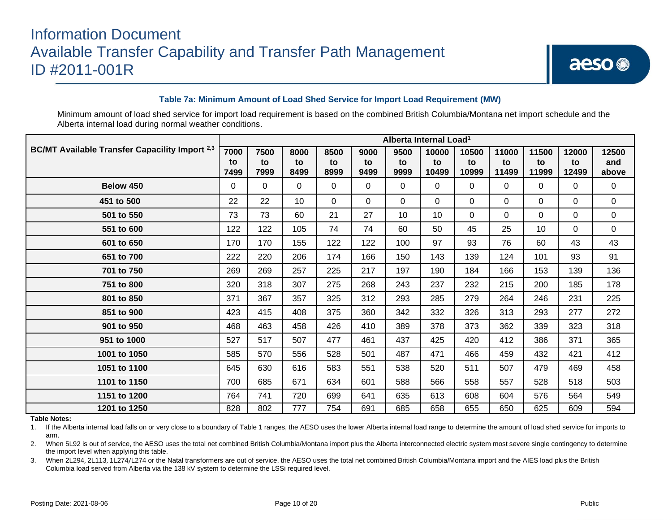### **Table 7a: Minimum Amount of Load Shed Service for Import Load Requirement (MW)**

Minimum amount of load shed service for import load requirement is based on the combined British Columbia/Montana net import schedule and the Alberta internal load during normal weather conditions.

| <b>BC/MT Available Transfer Capacility Import</b> 2,3<br>7000 |            | Alberta Internal Load <sup>1</sup> |                 |            |              |             |             |             |             |             |             |              |
|---------------------------------------------------------------|------------|------------------------------------|-----------------|------------|--------------|-------------|-------------|-------------|-------------|-------------|-------------|--------------|
|                                                               |            | 7500                               | 8000            | 8500       | 9000         | 9500        | 10000       | 10500       | 11000       | 11500       | 12000       | 12500        |
|                                                               | to<br>7499 | to<br>7999                         | to<br>8499      | to<br>8999 | to<br>9499   | to<br>9999  | to<br>10499 | to<br>10999 | to<br>11499 | to<br>11999 | to<br>12499 | and<br>above |
|                                                               |            |                                    |                 |            |              |             |             |             |             |             |             |              |
| Below 450                                                     | 0          | $\mathbf 0$                        | $\Omega$        | $\Omega$   | $\mathbf 0$  | 0           | 0           | 0           | $\Omega$    | $\Omega$    | 0           | 0            |
| 451 to 500                                                    | 22         | 22                                 | 10 <sup>°</sup> | $\Omega$   | $\mathbf{0}$ | $\mathbf 0$ | 0           | $\Omega$    | $\Omega$    | $\Omega$    | $\Omega$    | 0            |
| 501 to 550                                                    | 73         | 73                                 | 60              | 21         | 27           | 10          | 10          | $\Omega$    | 0           | $\Omega$    | $\Omega$    | 0            |
| 551 to 600                                                    | 122        | 122                                | 105             | 74         | 74           | 60          | 50          | 45          | 25          | 10          | $\Omega$    | 0            |
| 601 to 650                                                    | 170        | 170                                | 155             | 122        | 122          | 100         | 97          | 93          | 76          | 60          | 43          | 43           |
| 651 to 700                                                    | 222        | 220                                | 206             | 174        | 166          | 150         | 143         | 139         | 124         | 101         | 93          | 91           |
| 701 to 750                                                    | 269        | 269                                | 257             | 225        | 217          | 197         | 190         | 184         | 166         | 153         | 139         | 136          |
| 751 to 800                                                    | 320        | 318                                | 307             | 275        | 268          | 243         | 237         | 232         | 215         | 200         | 185         | 178          |
| 801 to 850                                                    | 371        | 367                                | 357             | 325        | 312          | 293         | 285         | 279         | 264         | 246         | 231         | 225          |
| 851 to 900                                                    | 423        | 415                                | 408             | 375        | 360          | 342         | 332         | 326         | 313         | 293         | 277         | 272          |
| 901 to 950                                                    | 468        | 463                                | 458             | 426        | 410          | 389         | 378         | 373         | 362         | 339         | 323         | 318          |
| 951 to 1000                                                   | 527        | 517                                | 507             | 477        | 461          | 437         | 425         | 420         | 412         | 386         | 371         | 365          |
| 1001 to 1050                                                  | 585        | 570                                | 556             | 528        | 501          | 487         | 471         | 466         | 459         | 432         | 421         | 412          |
| 1051 to 1100                                                  | 645        | 630                                | 616             | 583        | 551          | 538         | 520         | 511         | 507         | 479         | 469         | 458          |
| 1101 to 1150                                                  | 700        | 685                                | 671             | 634        | 601          | 588         | 566         | 558         | 557         | 528         | 518         | 503          |
| 1151 to 1200                                                  | 764        | 741                                | 720             | 699        | 641          | 635         | 613         | 608         | 604         | 576         | 564         | 549          |
| 1201 to 1250                                                  | 828        | 802                                | 777             | 754        | 691          | 685         | 658         | 655         | 650         | 625         | 609         | 594          |

#### **Table Notes:**

1. If the Alberta internal load falls on or very close to a boundary of Table 1 ranges, the AESO uses the lower Alberta internal load range to determine the amount of load shed service for imports to arm.

2. When 5L92 is out of service, the AESO uses the total net combined British Columbia/Montana import plus the Alberta interconnected electric system most severe single contingency to determine the import level when applying this table.

3. When 2L294, 2L113, 1L274/L274 or the Natal transformers are out of service, the AESO uses the total net combined British Columbia/Montana import and the AIES load plus the British Columbia load served from Alberta via the 138 kV system to determine the LSSi required level.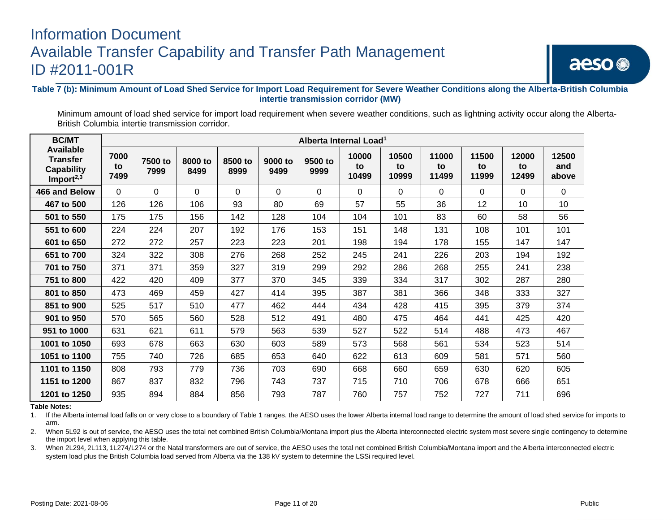**Table 7 (b): Minimum Amount of Load Shed Service for Import Load Requirement for Severe Weather Conditions along the Alberta-British Columbia intertie transmission corridor (MW)**

Minimum amount of load shed service for import load requirement when severe weather conditions, such as lightning activity occur along the Alberta-British Columbia intertie transmission corridor.

| <b>BC/MT</b>                                                                |                    |                 |                 |                 |                 | Alberta Internal Load <sup>1</sup> |                      |                      |                      |                      |                      |                       |
|-----------------------------------------------------------------------------|--------------------|-----------------|-----------------|-----------------|-----------------|------------------------------------|----------------------|----------------------|----------------------|----------------------|----------------------|-----------------------|
| <b>Available</b><br><b>Transfer</b><br><b>Capability</b><br>Import $^{2,3}$ | 7000<br>to<br>7499 | 7500 to<br>7999 | 8000 to<br>8499 | 8500 to<br>8999 | 9000 to<br>9499 | 9500 to<br>9999                    | 10000<br>to<br>10499 | 10500<br>to<br>10999 | 11000<br>to<br>11499 | 11500<br>to<br>11999 | 12000<br>to<br>12499 | 12500<br>and<br>above |
| 466 and Below                                                               | $\Omega$           | $\Omega$        | $\Omega$        | 0               | 0               | 0                                  | 0                    | 0                    | 0                    | 0                    | 0                    | 0                     |
| 467 to 500                                                                  | 126                | 126             | 106             | 93              | 80              | 69                                 | 57                   | 55                   | 36                   | 12                   | 10                   | 10                    |
| 501 to 550                                                                  | 175                | 175             | 156             | 142             | 128             | 104                                | 104                  | 101                  | 83                   | 60                   | 58                   | 56                    |
| 551 to 600                                                                  | 224                | 224             | 207             | 192             | 176             | 153                                | 151                  | 148                  | 131                  | 108                  | 101                  | 101                   |
| 601 to 650                                                                  | 272                | 272             | 257             | 223             | 223             | 201                                | 198                  | 194                  | 178                  | 155                  | 147                  | 147                   |
| 651 to 700                                                                  | 324                | 322             | 308             | 276             | 268             | 252                                | 245                  | 241                  | 226                  | 203                  | 194                  | 192                   |
| 701 to 750                                                                  | 371                | 371             | 359             | 327             | 319             | 299                                | 292                  | 286                  | 268                  | 255                  | 241                  | 238                   |
| 751 to 800                                                                  | 422                | 420             | 409             | 377             | 370             | 345                                | 339                  | 334                  | 317                  | 302                  | 287                  | 280                   |
| 801 to 850                                                                  | 473                | 469             | 459             | 427             | 414             | 395                                | 387                  | 381                  | 366                  | 348                  | 333                  | 327                   |
| 851 to 900                                                                  | 525                | 517             | 510             | 477             | 462             | 444                                | 434                  | 428                  | 415                  | 395                  | 379                  | 374                   |
| 901 to 950                                                                  | 570                | 565             | 560             | 528             | 512             | 491                                | 480                  | 475                  | 464                  | 441                  | 425                  | 420                   |
| 951 to 1000                                                                 | 631                | 621             | 611             | 579             | 563             | 539                                | 527                  | 522                  | 514                  | 488                  | 473                  | 467                   |
| 1001 to 1050                                                                | 693                | 678             | 663             | 630             | 603             | 589                                | 573                  | 568                  | 561                  | 534                  | 523                  | 514                   |
| 1051 to 1100                                                                | 755                | 740             | 726             | 685             | 653             | 640                                | 622                  | 613                  | 609                  | 581                  | 571                  | 560                   |
| 1101 to 1150                                                                | 808                | 793             | 779             | 736             | 703             | 690                                | 668                  | 660                  | 659                  | 630                  | 620                  | 605                   |
| 1151 to 1200                                                                | 867                | 837             | 832             | 796             | 743             | 737                                | 715                  | 710                  | 706                  | 678                  | 666                  | 651                   |
| 1201 to 1250                                                                | 935                | 894             | 884             | 856             | 793             | 787                                | 760                  | 757                  | 752                  | 727                  | 711                  | 696                   |

**Table Notes:**

1. If the Alberta internal load falls on or very close to a boundary of Table 1 ranges, the AESO uses the lower Alberta internal load range to determine the amount of load shed service for imports to arm.

2. When 5L92 is out of service, the AESO uses the total net combined British Columbia/Montana import plus the Alberta interconnected electric system most severe single contingency to determine the import level when applying this table.

3. When 2L294, 2L113, 1L274/L274 or the Natal transformers are out of service, the AESO uses the total net combined British Columbia/Montana import and the Alberta interconnected electric system load plus the British Columbia load served from Alberta via the 138 kV system to determine the LSSi required level.

aeso<sup>®</sup>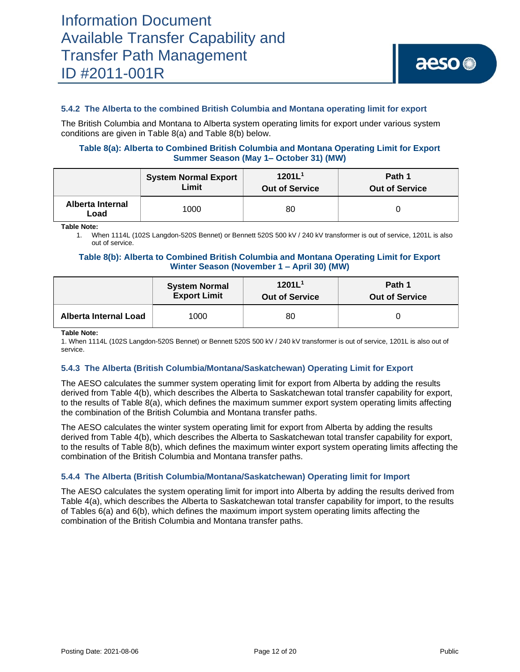### **5.4.2 The Alberta to the combined British Columbia and Montana operating limit for export**

The British Columbia and Montana to Alberta system operating limits for export under various system conditions are given in Table 8(a) and Table 8(b) below.

### **Table 8(a): Alberta to Combined British Columbia and Montana Operating Limit for Export Summer Season (May 1– October 31) (MW)**

|                          | <b>System Normal Export</b> | 1201L <sup>1</sup>    | Path 1                |  |
|--------------------------|-----------------------------|-----------------------|-----------------------|--|
|                          | <b>Limit</b>                | <b>Out of Service</b> | <b>Out of Service</b> |  |
| Alberta Internal<br>Load | 1000                        | 80                    |                       |  |

**Table Note:**

1. When 1114L (102S Langdon-520S Bennet) or Bennett 520S 500 kV / 240 kV transformer is out of service, 1201L is also out of service.

### **Table 8(b): Alberta to Combined British Columbia and Montana Operating Limit for Export Winter Season (November 1 – April 30) (MW)**

|                       | <b>System Normal</b> | 1201L <sup>1</sup>    | Path 1                |
|-----------------------|----------------------|-----------------------|-----------------------|
|                       | <b>Export Limit</b>  | <b>Out of Service</b> | <b>Out of Service</b> |
| Alberta Internal Load | 1000                 | 80                    |                       |

**Table Note:**

1. When 1114L (102S Langdon-520S Bennet) or Bennett 520S 500 kV / 240 kV transformer is out of service, 1201L is also out of service.

### **5.4.3 The Alberta (British Columbia/Montana/Saskatchewan) Operating Limit for Export**

The AESO calculates the summer system operating limit for export from Alberta by adding the results derived from Table 4(b), which describes the Alberta to Saskatchewan total transfer capability for export, to the results of Table 8(a), which defines the maximum summer export system operating limits affecting the combination of the British Columbia and Montana transfer paths.

The AESO calculates the winter system operating limit for export from Alberta by adding the results derived from Table 4(b), which describes the Alberta to Saskatchewan total transfer capability for export, to the results of Table 8(b), which defines the maximum winter export system operating limits affecting the combination of the British Columbia and Montana transfer paths.

### **5.4.4 The Alberta (British Columbia/Montana/Saskatchewan) Operating limit for Import**

The AESO calculates the system operating limit for import into Alberta by adding the results derived from Table 4(a), which describes the Alberta to Saskatchewan total transfer capability for import, to the results of Tables 6(a) and 6(b), which defines the maximum import system operating limits affecting the combination of the British Columbia and Montana transfer paths.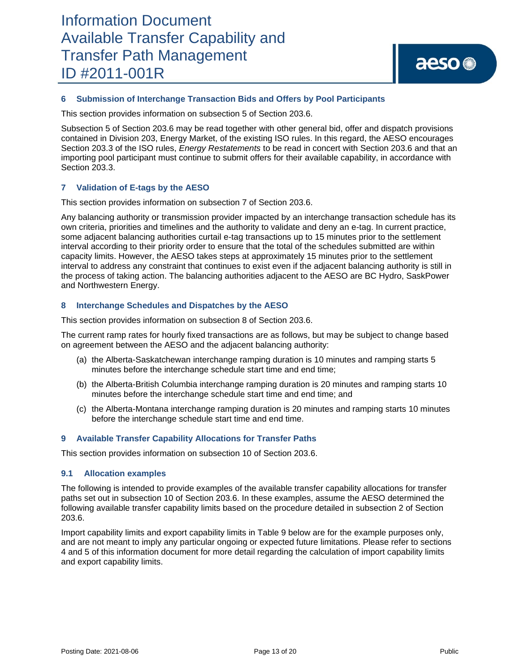### **6 Submission of Interchange Transaction Bids and Offers by Pool Participants**

This section provides information on subsection 5 of Section 203.6.

Subsection 5 of Section 203.6 may be read together with other general bid, offer and dispatch provisions contained in Division 203, Energy Market, of the existing ISO rules. In this regard, the AESO encourages Section 203.3 of the ISO rules, *Energy Restatements* to be read in concert with Section 203.6 and that an importing pool participant must continue to submit offers for their available capability, in accordance with Section 203.3.

### **7 Validation of E-tags by the AESO**

This section provides information on subsection 7 of Section 203.6.

Any balancing authority or transmission provider impacted by an interchange transaction schedule has its own criteria, priorities and timelines and the authority to validate and deny an e-tag. In current practice, some adjacent balancing authorities curtail e-tag transactions up to 15 minutes prior to the settlement interval according to their priority order to ensure that the total of the schedules submitted are within capacity limits. However, the AESO takes steps at approximately 15 minutes prior to the settlement interval to address any constraint that continues to exist even if the adjacent balancing authority is still in the process of taking action. The balancing authorities adjacent to the AESO are BC Hydro, SaskPower and Northwestern Energy.

### **8 Interchange Schedules and Dispatches by the AESO**

This section provides information on subsection 8 of Section 203.6.

The current ramp rates for hourly fixed transactions are as follows, but may be subject to change based on agreement between the AESO and the adjacent balancing authority:

- (a) the Alberta-Saskatchewan interchange ramping duration is 10 minutes and ramping starts 5 minutes before the interchange schedule start time and end time;
- (b) the Alberta-British Columbia interchange ramping duration is 20 minutes and ramping starts 10 minutes before the interchange schedule start time and end time; and
- (c) the Alberta-Montana interchange ramping duration is 20 minutes and ramping starts 10 minutes before the interchange schedule start time and end time.

### **9 Available Transfer Capability Allocations for Transfer Paths**

This section provides information on subsection 10 of Section 203.6.

### **9.1 Allocation examples**

The following is intended to provide examples of the available transfer capability allocations for transfer paths set out in subsection 10 of Section 203.6. In these examples, assume the AESO determined the following available transfer capability limits based on the procedure detailed in subsection 2 of Section 203.6.

Import capability limits and export capability limits in Table 9 below are for the example purposes only, and are not meant to imply any particular ongoing or expected future limitations. Please refer to sections 4 and 5 of this information document for more detail regarding the calculation of import capability limits and export capability limits.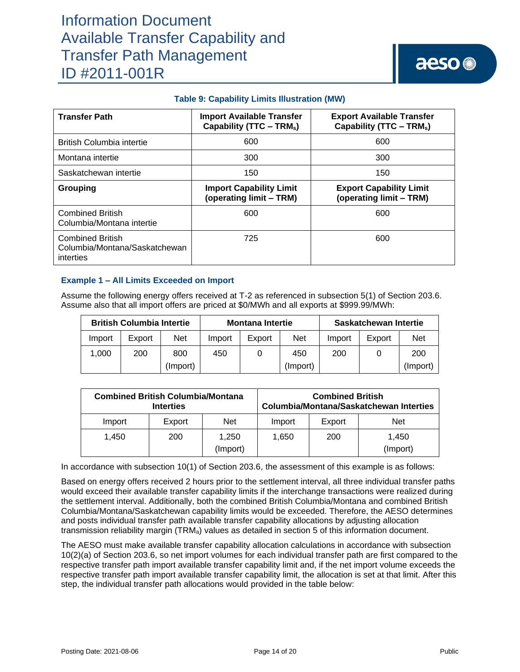|  |  |  | <b>Table 9: Capability Limits Illustration (MW)</b> |  |  |
|--|--|--|-----------------------------------------------------|--|--|
|--|--|--|-----------------------------------------------------|--|--|

| <b>Transfer Path</b>                                                  | <b>Import Available Transfer</b><br>Capability (TTC – TRM <sub>s</sub> ) | <b>Export Available Transfer</b><br>Capability (TTC – TRM <sub>s</sub> ) |
|-----------------------------------------------------------------------|--------------------------------------------------------------------------|--------------------------------------------------------------------------|
| <b>British Columbia intertie</b>                                      | 600                                                                      | 600                                                                      |
| Montana intertie                                                      | 300                                                                      | 300                                                                      |
| Saskatchewan intertie                                                 | 150                                                                      | 150                                                                      |
| Grouping                                                              | <b>Import Capability Limit</b><br>(operating limit - TRM)                | <b>Export Capability Limit</b><br>(operating limit - TRM)                |
| <b>Combined British</b><br>Columbia/Montana intertie                  | 600                                                                      | 600                                                                      |
| <b>Combined British</b><br>Columbia/Montana/Saskatchewan<br>interties | 725                                                                      | 600                                                                      |

### **Example 1 – All Limits Exceeded on Import**

Assume the following energy offers received at T-2 as referenced in subsection 5(1) of Section 203.6. Assume also that all import offers are priced at \$0/MWh and all exports at \$999.99/MWh:

| <b>British Columbia Intertie</b> |        |            | <b>Montana Intertie</b> |        |          | Saskatchewan Intertie |        |            |
|----------------------------------|--------|------------|-------------------------|--------|----------|-----------------------|--------|------------|
| Import                           | Export | <b>Net</b> | Import                  | Export | Net      | Import                | Export | <b>Net</b> |
| 1.000                            | 200    | 800        | 450                     |        | 450      | 200                   |        | 200        |
|                                  |        | (Import)   |                         |        | (Import) |                       |        | (Import)   |

| <b>Combined British Columbia/Montana</b><br><b>Interties</b> |        |                   |        | <b>Combined British</b> | <b>Columbia/Montana/Saskatchewan Interties</b> |
|--------------------------------------------------------------|--------|-------------------|--------|-------------------------|------------------------------------------------|
| Import                                                       | Export | <b>Net</b>        | Import | Export                  | <b>Net</b>                                     |
| 1.450                                                        | 200    | 1,250<br>(Import) | 1.650  | 200                     | 1.450<br>(Import)                              |

In accordance with subsection 10(1) of Section 203.6, the assessment of this example is as follows:

Based on energy offers received 2 hours prior to the settlement interval, all three individual transfer paths would exceed their available transfer capability limits if the interchange transactions were realized during the settlement interval. Additionally, both the combined British Columbia/Montana and combined British Columbia/Montana/Saskatchewan capability limits would be exceeded. Therefore, the AESO determines and posts individual transfer path available transfer capability allocations by adjusting allocation transmission reliability margin (TRMa) values as detailed in section 5 of this information document.

The AESO must make available transfer capability allocation calculations in accordance with subsection 10(2)(a) of Section 203.6, so net import volumes for each individual transfer path are first compared to the respective transfer path import available transfer capability limit and, if the net import volume exceeds the respective transfer path import available transfer capability limit, the allocation is set at that limit. After this step, the individual transfer path allocations would provided in the table below: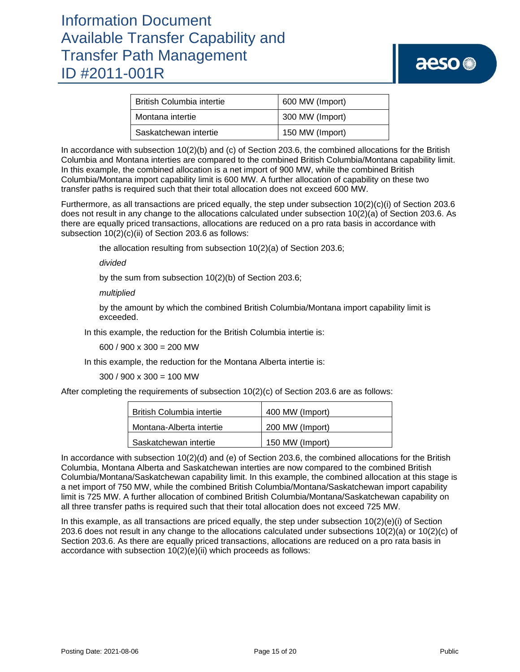| <b>British Columbia intertie</b> | 600 MW (Import) |  |  |
|----------------------------------|-----------------|--|--|
| Montana intertie                 | 300 MW (Import) |  |  |
| Saskatchewan intertie            | 150 MW (Import) |  |  |

In accordance with subsection 10(2)(b) and (c) of Section 203.6, the combined allocations for the British Columbia and Montana interties are compared to the combined British Columbia/Montana capability limit. In this example, the combined allocation is a net import of 900 MW, while the combined British Columbia/Montana import capability limit is 600 MW. A further allocation of capability on these two transfer paths is required such that their total allocation does not exceed 600 MW.

Furthermore, as all transactions are priced equally, the step under subsection 10(2)(c)(i) of Section 203.6 does not result in any change to the allocations calculated under subsection 10(2)(a) of Section 203.6. As there are equally priced transactions, allocations are reduced on a pro rata basis in accordance with subsection 10(2)(c)(ii) of Section 203.6 as follows:

the allocation resulting from subsection 10(2)(a) of Section 203.6;

*divided*

by the sum from subsection 10(2)(b) of Section 203.6;

*multiplied* 

by the amount by which the combined British Columbia/Montana import capability limit is exceeded.

In this example, the reduction for the British Columbia intertie is:

600 / 900 x 300 = 200 MW

In this example, the reduction for the Montana Alberta intertie is:

300 / 900 x 300 = 100 MW

After completing the requirements of subsection 10(2)(c) of Section 203.6 are as follows:

| <b>British Columbia intertie</b> | 400 MW (Import) |
|----------------------------------|-----------------|
| Montana-Alberta intertie         | 200 MW (Import) |
| Saskatchewan intertie            | 150 MW (Import) |

In accordance with subsection 10(2)(d) and (e) of Section 203.6, the combined allocations for the British Columbia, Montana Alberta and Saskatchewan interties are now compared to the combined British Columbia/Montana/Saskatchewan capability limit. In this example, the combined allocation at this stage is a net import of 750 MW, while the combined British Columbia/Montana/Saskatchewan import capability limit is 725 MW. A further allocation of combined British Columbia/Montana/Saskatchewan capability on all three transfer paths is required such that their total allocation does not exceed 725 MW.

In this example, as all transactions are priced equally, the step under subsection  $10(2)(e)(i)$  of Section 203.6 does not result in any change to the allocations calculated under subsections 10(2)(a) or 10(2)(c) of Section 203.6. As there are equally priced transactions, allocations are reduced on a pro rata basis in accordance with subsection 10(2)(e)(ii) which proceeds as follows: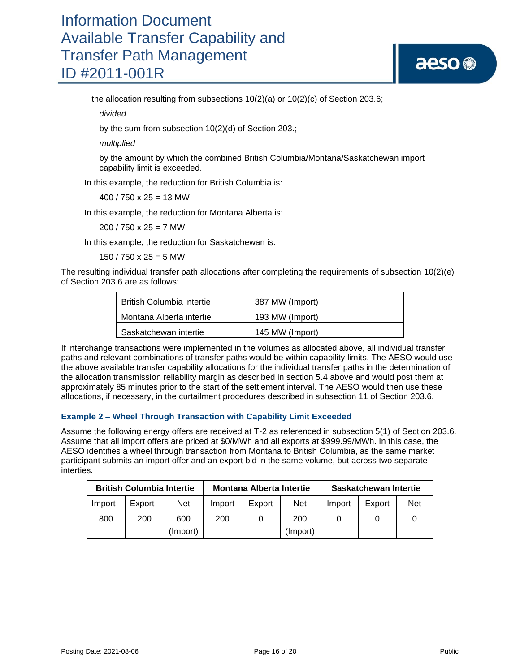# aeso<sup>®</sup>

the allocation resulting from subsections 10(2)(a) or 10(2)(c) of Section 203.6;

*divided*

by the sum from subsection 10(2)(d) of Section 203.;

*multiplied*

by the amount by which the combined British Columbia/Montana/Saskatchewan import capability limit is exceeded.

In this example, the reduction for British Columbia is:

400 / 750 x 25 = 13 MW

In this example, the reduction for Montana Alberta is:

 $200 / 750 \times 25 = 7$  MW

In this example, the reduction for Saskatchewan is:

 $150 / 750 \times 25 = 5$  MW

The resulting individual transfer path allocations after completing the requirements of subsection 10(2)(e) of Section 203.6 are as follows:

| British Columbia intertie | 387 MW (Import) |
|---------------------------|-----------------|
| Montana Alberta intertie  | 193 MW (Import) |
| Saskatchewan intertie     | 145 MW (Import) |

If interchange transactions were implemented in the volumes as allocated above, all individual transfer paths and relevant combinations of transfer paths would be within capability limits. The AESO would use the above available transfer capability allocations for the individual transfer paths in the determination of the allocation transmission reliability margin as described in section 5.4 above and would post them at approximately 85 minutes prior to the start of the settlement interval. The AESO would then use these allocations, if necessary, in the curtailment procedures described in subsection 11 of Section 203.6.

### **Example 2 – Wheel Through Transaction with Capability Limit Exceeded**

Assume the following energy offers are received at T-2 as referenced in subsection 5(1) of Section 203.6. Assume that all import offers are priced at \$0/MWh and all exports at \$999.99/MWh. In this case, the AESO identifies a wheel through transaction from Montana to British Columbia, as the same market participant submits an import offer and an export bid in the same volume, but across two separate interties.

| <b>British Columbia Intertie</b> |        | <b>Montana Alberta Intertie</b> |        |        | Saskatchewan Intertie |        |        |            |
|----------------------------------|--------|---------------------------------|--------|--------|-----------------------|--------|--------|------------|
| Import                           | Export | <b>Net</b>                      | Import | Export | <b>Net</b>            | Import | Export | <b>Net</b> |
| 800                              | 200    | 600                             | 200    |        | 200                   |        |        |            |
|                                  |        | (Import)                        |        |        | (Import)              |        |        |            |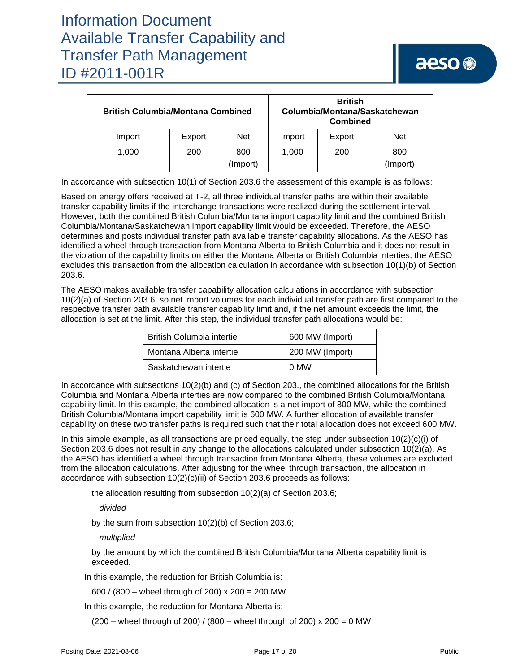| <b>British Columbia/Montana Combined</b> | <b>British</b><br>Columbia/Montana/Saskatchewan<br><b>Combined</b> |          |        |        |            |
|------------------------------------------|--------------------------------------------------------------------|----------|--------|--------|------------|
| Import                                   | Export                                                             | Net      | Import | Export | <b>Net</b> |
| 1.000                                    | 200                                                                | 800      | 1.000  | 200    | 800        |
|                                          |                                                                    | (Import) |        |        | (Import)   |

In accordance with subsection 10(1) of Section 203.6 the assessment of this example is as follows:

Based on energy offers received at T-2, all three individual transfer paths are within their available transfer capability limits if the interchange transactions were realized during the settlement interval. However, both the combined British Columbia/Montana import capability limit and the combined British Columbia/Montana/Saskatchewan import capability limit would be exceeded. Therefore, the AESO determines and posts individual transfer path available transfer capability allocations. As the AESO has identified a wheel through transaction from Montana Alberta to British Columbia and it does not result in the violation of the capability limits on either the Montana Alberta or British Columbia interties, the AESO excludes this transaction from the allocation calculation in accordance with subsection 10(1)(b) of Section 203.6.

The AESO makes available transfer capability allocation calculations in accordance with subsection 10(2)(a) of Section 203.6, so net import volumes for each individual transfer path are first compared to the respective transfer path available transfer capability limit and, if the net amount exceeds the limit, the allocation is set at the limit. After this step, the individual transfer path allocations would be:

| <b>British Columbia intertie</b> | 600 MW (Import) |
|----------------------------------|-----------------|
| Montana Alberta intertie         | 200 MW (Import) |
| Saskatchewan intertie            | 0 MW            |

In accordance with subsections  $10(2)(b)$  and (c) of Section 203., the combined allocations for the British Columbia and Montana Alberta interties are now compared to the combined British Columbia/Montana capability limit. In this example, the combined allocation is a net import of 800 MW, while the combined British Columbia/Montana import capability limit is 600 MW. A further allocation of available transfer capability on these two transfer paths is required such that their total allocation does not exceed 600 MW.

In this simple example, as all transactions are priced equally, the step under subsection  $10(2)(c)(i)$  of Section 203.6 does not result in any change to the allocations calculated under subsection 10(2)(a). As the AESO has identified a wheel through transaction from Montana Alberta, these volumes are excluded from the allocation calculations. After adjusting for the wheel through transaction, the allocation in accordance with subsection 10(2)(c)(ii) of Section 203.6 proceeds as follows:

the allocation resulting from subsection 10(2)(a) of Section 203.6;

*divided*

by the sum from subsection 10(2)(b) of Section 203.6;

*multiplied*

by the amount by which the combined British Columbia/Montana Alberta capability limit is exceeded.

In this example, the reduction for British Columbia is:

600 / (800 – wheel through of 200) x 200 = 200 MW

In this example, the reduction for Montana Alberta is:

 $(200 -$  wheel through of 200) /  $(800 -$  wheel through of 200) x 200 = 0 MW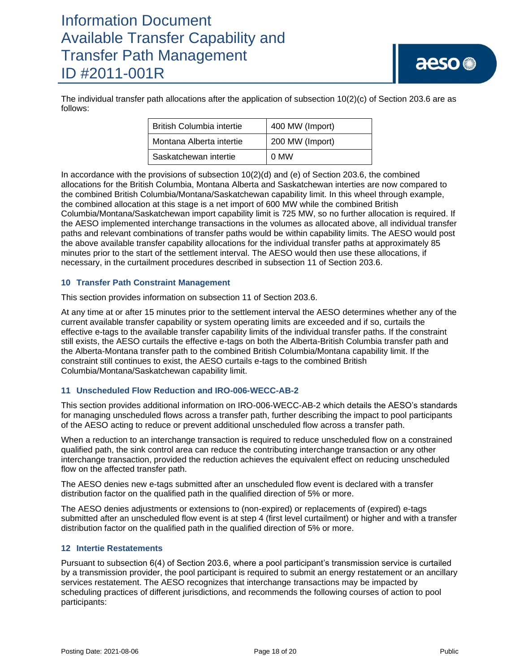The individual transfer path allocations after the application of subsection 10(2)(c) of Section 203.6 are as follows:

| <b>British Columbia intertie</b> | 400 MW (Import) |  |
|----------------------------------|-----------------|--|
| Montana Alberta intertie         | 200 MW (Import) |  |
| Saskatchewan intertie            | 0 MW            |  |

In accordance with the provisions of subsection  $10(2)(d)$  and (e) of Section 203.6, the combined allocations for the British Columbia, Montana Alberta and Saskatchewan interties are now compared to the combined British Columbia/Montana/Saskatchewan capability limit. In this wheel through example, the combined allocation at this stage is a net import of 600 MW while the combined British Columbia/Montana/Saskatchewan import capability limit is 725 MW, so no further allocation is required. If the AESO implemented interchange transactions in the volumes as allocated above, all individual transfer paths and relevant combinations of transfer paths would be within capability limits. The AESO would post the above available transfer capability allocations for the individual transfer paths at approximately 85 minutes prior to the start of the settlement interval. The AESO would then use these allocations, if necessary, in the curtailment procedures described in subsection 11 of Section 203.6.

### **10 Transfer Path Constraint Management**

This section provides information on subsection 11 of Section 203.6.

At any time at or after 15 minutes prior to the settlement interval the AESO determines whether any of the current available transfer capability or system operating limits are exceeded and if so, curtails the effective e-tags to the available transfer capability limits of the individual transfer paths. If the constraint still exists, the AESO curtails the effective e-tags on both the Alberta-British Columbia transfer path and the Alberta-Montana transfer path to the combined British Columbia/Montana capability limit. If the constraint still continues to exist, the AESO curtails e-tags to the combined British Columbia/Montana/Saskatchewan capability limit.

### **11 Unscheduled Flow Reduction and IRO-006-WECC-AB-2**

This section provides additional information on IRO-006-WECC-AB-2 which details the AESO's standards for managing unscheduled flows across a transfer path, further describing the impact to pool participants of the AESO acting to reduce or prevent additional unscheduled flow across a transfer path.

When a reduction to an interchange transaction is required to reduce unscheduled flow on a constrained qualified path, the sink control area can reduce the contributing interchange transaction or any other interchange transaction, provided the reduction achieves the equivalent effect on reducing unscheduled flow on the affected transfer path.

The AESO denies new e-tags submitted after an unscheduled flow event is declared with a transfer distribution factor on the qualified path in the qualified direction of 5% or more.

The AESO denies adjustments or extensions to (non-expired) or replacements of (expired) e-tags submitted after an unscheduled flow event is at step 4 (first level curtailment) or higher and with a transfer distribution factor on the qualified path in the qualified direction of 5% or more.

### **12 Intertie Restatements**

Pursuant to subsection 6(4) of Section 203.6, where a pool participant's transmission service is curtailed by a transmission provider, the pool participant is required to submit an energy restatement or an ancillary services restatement. The AESO recognizes that interchange transactions may be impacted by scheduling practices of different jurisdictions, and recommends the following courses of action to pool participants: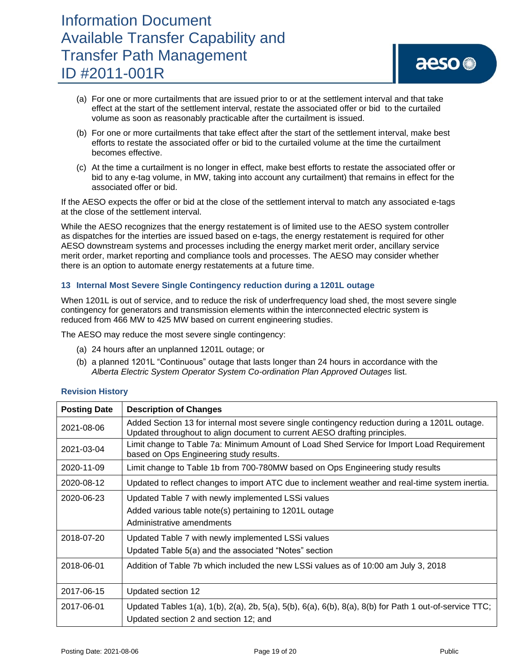- (a) For one or more curtailments that are issued prior to or at the settlement interval and that take effect at the start of the settlement interval, restate the associated offer or bid to the curtailed volume as soon as reasonably practicable after the curtailment is issued.
- (b) For one or more curtailments that take effect after the start of the settlement interval, make best efforts to restate the associated offer or bid to the curtailed volume at the time the curtailment becomes effective.
- (c) At the time a curtailment is no longer in effect, make best efforts to restate the associated offer or bid to any e-tag volume, in MW, taking into account any curtailment) that remains in effect for the associated offer or bid.

If the AESO expects the offer or bid at the close of the settlement interval to match any associated e-tags at the close of the settlement interval.

While the AESO recognizes that the energy restatement is of limited use to the AESO system controller as dispatches for the interties are issued based on e-tags, the energy restatement is required for other AESO downstream systems and processes including the energy market merit order, ancillary service merit order, market reporting and compliance tools and processes. The AESO may consider whether there is an option to automate energy restatements at a future time.

### **13 Internal Most Severe Single Contingency reduction during a 1201L outage**

When 1201L is out of service, and to reduce the risk of underfrequency load shed, the most severe single contingency for generators and transmission elements within the interconnected electric system is reduced from 466 MW to 425 MW based on current engineering studies.

The AESO may reduce the most severe single contingency:

- (a) 24 hours after an unplanned 1201L outage; or
- (b) a planned 1201L "Continuous" outage that lasts longer than 24 hours in accordance with the *Alberta Electric System Operator System Co-ordination Plan Approved Outages* list.

| <b>Posting Date</b> | <b>Description of Changes</b>                                                                                                                                              |
|---------------------|----------------------------------------------------------------------------------------------------------------------------------------------------------------------------|
| 2021-08-06          | Added Section 13 for internal most severe single contingency reduction during a 1201L outage.<br>Updated throughout to align document to current AESO drafting principles. |
| 2021-03-04          | Limit change to Table 7a: Minimum Amount of Load Shed Service for Import Load Requirement<br>based on Ops Engineering study results.                                       |
| 2020-11-09          | Limit change to Table 1b from 700-780MW based on Ops Engineering study results                                                                                             |
| 2020-08-12          | Updated to reflect changes to import ATC due to inclement weather and real-time system inertia.                                                                            |
| 2020-06-23          | Updated Table 7 with newly implemented LSSi values<br>Added various table note(s) pertaining to 1201L outage<br>Administrative amendments                                  |
| 2018-07-20          | Updated Table 7 with newly implemented LSSi values<br>Updated Table 5(a) and the associated "Notes" section                                                                |
| 2018-06-01          | Addition of Table 7b which included the new LSSi values as of 10:00 am July 3, 2018                                                                                        |
| 2017-06-15          | Updated section 12                                                                                                                                                         |
| 2017-06-01          | Updated Tables 1(a), 1(b), 2(a), 2b, 5(a), 5(b), 6(a), 6(b), 8(a), 8(b) for Path 1 out-of-service TTC;<br>Updated section 2 and section 12; and                            |